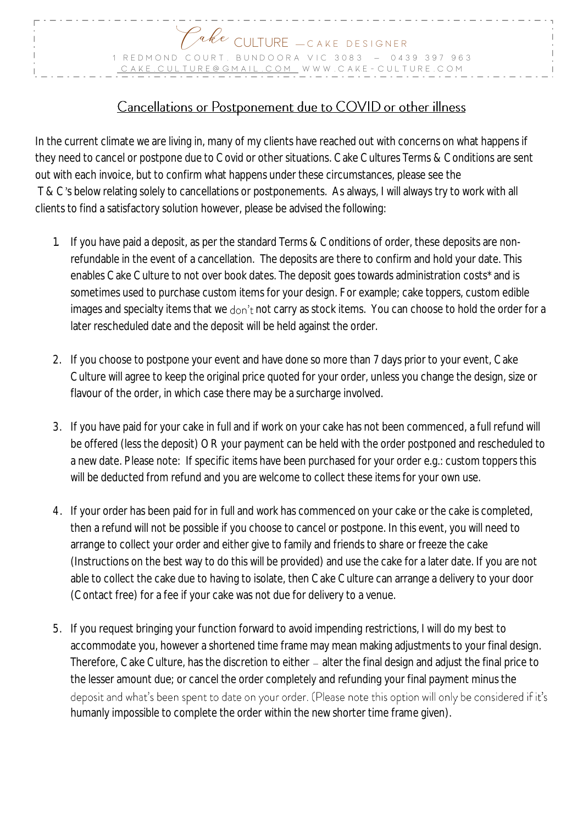

## Cancellations or Postponement due to COVID or other illness

In the current climate we are living in, many of my clients have reached out with concerns on what happens if they need to cancel or postpone due to Covid or other situations. Cake Cultures Terms & Conditions are sent out with each invoice, but to confirm what happens under these circumstances, please see the T & C's below relating solely to cancellations or postponements. As always, I will always try to work with all clients to find a satisfactory solution however, please be advised the following:

- 1. If you have paid a deposit, as per the standard Terms & Conditions of order, these deposits are nonrefundable in the event of a cancellation. The deposits are there to confirm and hold your date. This enables Cake Culture to not over book dates. The deposit goes towards administration costs\* and is sometimes used to purchase custom items for your design. For example; cake toppers, custom edible images and specialty items that we don't not carry as stock items. You can choose to hold the order for a later rescheduled date and the deposit will be held against the order.
- 2. If you choose to postpone your event and have done so more than 7 days prior to your event, Cake Culture will agree to keep the original price quoted for your order, unless you change the design, size or flavour of the order, in which case there may be a surcharge involved.
- 3. If you have paid for your cake in full and if work on your cake has not been commenced, a full refund will be offered (less the deposit) OR your payment can be held with the order postponed and rescheduled to a new date. Please note: If specific items have been purchased for your order e.g.: custom toppers this will be deducted from refund and you are welcome to collect these items for your own use.
- 4. If your order has been paid for in full and work has commenced on your cake or the cake is completed, then a refund will not be possible if you choose to cancel or postpone. In this event, you will need to arrange to collect your order and either give to family and friends to share or freeze the cake (Instructions on the best way to do this will be provided) and use the cake for a later date. If you are not able to collect the cake due to having to isolate, then Cake Culture can arrange a delivery to your door (Contact free) for a fee if your cake was not due for delivery to a venue.
- 5. If you request bringing your function forward to avoid impending restrictions, I will do my best to accommodate you, however a shortened time frame may mean making adjustments to your final design. Therefore, Cake Culture, has the discretion to either – alter the final design and adjust the final price to the lesser amount due; or cancel the order completely and refunding your final payment minus the deposit and what's been spent to date on your order. (Please note this option will only be considered if it's humanly impossible to complete the order within the new shorter time frame given).